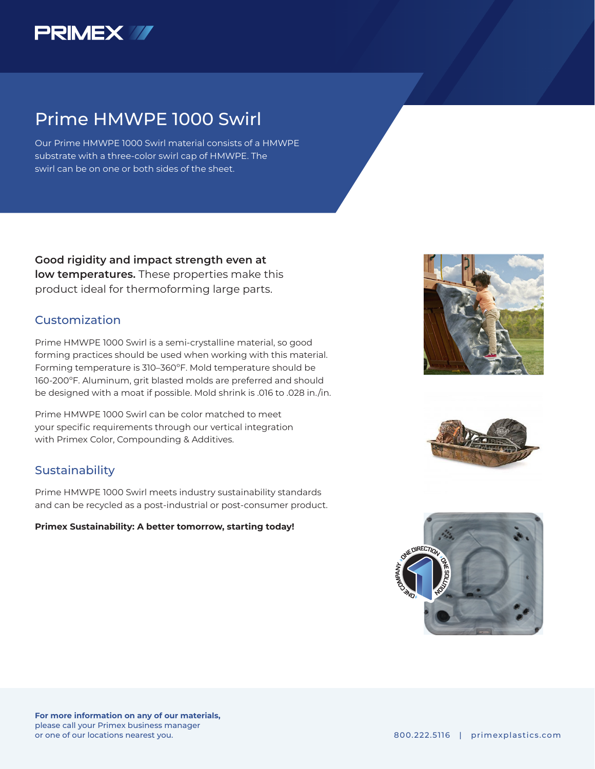

## Prime HMWPE 1000 Swirl

Our Prime HMWPE 1000 Swirl material consists of a HMWPE substrate with a three-color swirl cap of HMWPE. The swirl can be on one or both sides of the sheet.

**Good rigidity and impact strength even at low temperatures.** These properties make this product ideal for thermoforming large parts.

### Customization

Prime HMWPE 1000 Swirl is a semi-crystalline material, so good forming practices should be used when working with this material. Forming temperature is 310–360ºF. Mold temperature should be 160-200ºF. Aluminum, grit blasted molds are preferred and should be designed with a moat if possible. Mold shrink is .016 to .028 in./in.

Prime HMWPE 1000 Swirl can be color matched to meet your specific requirements through our vertical integration with Primex Color, Compounding & Additives.

### Sustainability

Prime HMWPE 1000 Swirl meets industry sustainability standards and can be recycled as a post-industrial or post-consumer product.

#### **Primex Sustainability: A better tomorrow, starting today!**